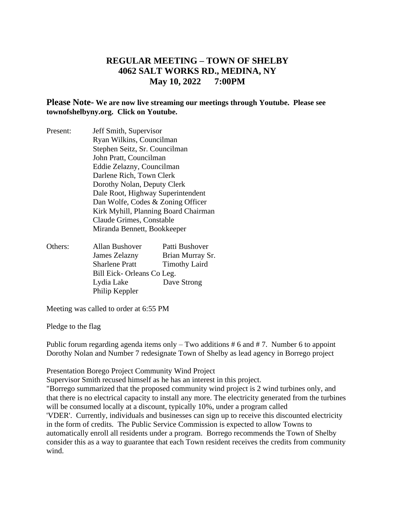# **REGULAR MEETING – TOWN OF SHELBY 4062 SALT WORKS RD., MEDINA, NY May 10, 2022 7:00PM**

## **Please Note- We are now live streaming our meetings through Youtube. Please see townofshelbyny.org. Click on Youtube.**

- Present: Jeff Smith, Supervisor Ryan Wilkins, Councilman Stephen Seitz, Sr. Councilman John Pratt, Councilman Eddie Zelazny, Councilman Darlene Rich, Town Clerk Dorothy Nolan, Deputy Clerk Dale Root, Highway Superintendent Dan Wolfe, Codes & Zoning Officer Kirk Myhill, Planning Board Chairman Claude Grimes, Constable Miranda Bennett, Bookkeeper
- Others: Allan Bushover Patti Bushover James Zelazny Brian Murray Sr. Sharlene Pratt Timothy Laird Bill Eick- Orleans Co Leg. Lydia Lake Dave Strong Philip Keppler

Meeting was called to order at 6:55 PM

Pledge to the flag

Public forum regarding agenda items only  $-$  Two additions # 6 and #7. Number 6 to appoint Dorothy Nolan and Number 7 redesignate Town of Shelby as lead agency in Borrego project

Presentation Borego Project Community Wind Project

Supervisor Smith recused himself as he has an interest in this project.

"Borrego summarized that the proposed community wind project is 2 wind turbines only, and that there is no electrical capacity to install any more. The electricity generated from the turbines will be consumed locally at a discount, typically 10%, under a program called 'VDER'. Currently, individuals and businesses can sign up to receive this discounted electricity in the form of credits. The Public Service Commission is expected to allow Towns to automatically enroll all residents under a program. Borrego recommends the Town of Shelby consider this as a way to guarantee that each Town resident receives the credits from community wind.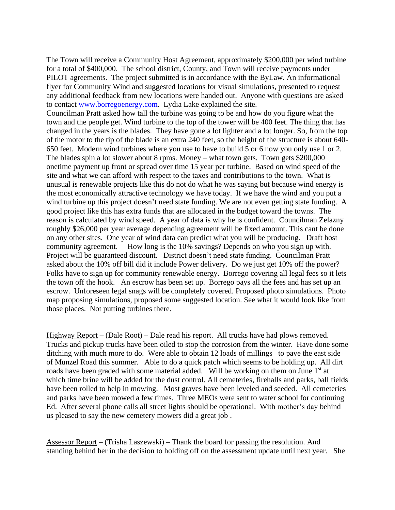The Town will receive a Community Host Agreement, approximately \$200,000 per wind turbine for a total of \$400,000. The school district, County, and Town will receive payments under PILOT agreements. The project submitted is in accordance with the ByLaw. An informational flyer for Community Wind and suggested locations for visual simulations, presented to request any additional feedback from new locations were handed out. Anyone with questions are asked to contact [www.borregoenergy.com.](http://www.borregoenergy.com/) Lydia Lake explained the site.

Councilman Pratt asked how tall the turbine was going to be and how do you figure what the town and the people get. Wind turbine to the top of the tower will be 400 feet. The thing that has changed in the years is the blades. They have gone a lot lighter and a lot longer. So, from the top of the motor to the tip of the blade is an extra 240 feet, so the height of the structure is about 640- 650 feet. Modern wind turbines where you use to have to build 5 or 6 now you only use 1 or 2. The blades spin a lot slower about 8 rpms. Money – what town gets. Town gets \$200,000 onetime payment up front or spread over time 15 year per turbine. Based on wind speed of the site and what we can afford with respect to the taxes and contributions to the town. What is unusual is renewable projects like this do not do what he was saying but because wind energy is the most economically attractive technology we have today. If we have the wind and you put a wind turbine up this project doesn't need state funding. We are not even getting state funding. A good project like this has extra funds that are allocated in the budget toward the towns. The reason is calculated by wind speed. A year of data is why he is confident. Councilman Zelazny roughly \$26,000 per year average depending agreement will be fixed amount. This cant be done on any other sites. One year of wind data can predict what you will be producing. Draft host community agreement. How long is the 10% savings? Depends on who you sign up with. Project will be guaranteed discount. District doesn't need state funding. Councilman Pratt asked about the 10% off bill did it include Power delivery. Do we just get 10% off the power? Folks have to sign up for community renewable energy. Borrego covering all legal fees so it lets the town off the hook. An escrow has been set up. Borrego pays all the fees and has set up an escrow. Unforeseen legal snags will be completely covered. Proposed photo simulations. Photo map proposing simulations, proposed some suggested location. See what it would look like from those places. Not putting turbines there.

Highway Report – (Dale Root) – Dale read his report. All trucks have had plows removed. Trucks and pickup trucks have been oiled to stop the corrosion from the winter. Have done some ditching with much more to do. Were able to obtain 12 loads of millings to pave the east side of Munzel Road this summer. Able to do a quick patch which seems to be holding up. All dirt roads have been graded with some material added. Will be working on them on June 1<sup>st</sup> at which time brine will be added for the dust control. All cemeteries, firehalls and parks, ball fields have been rolled to help in mowing. Most graves have been leveled and seeded. All cemeteries and parks have been mowed a few times. Three MEOs were sent to water school for continuing Ed. After several phone calls all street lights should be operational. With mother's day behind us pleased to say the new cemetery mowers did a great job .

Assessor Report – (Trisha Laszewski) – Thank the board for passing the resolution. And standing behind her in the decision to holding off on the assessment update until next year. She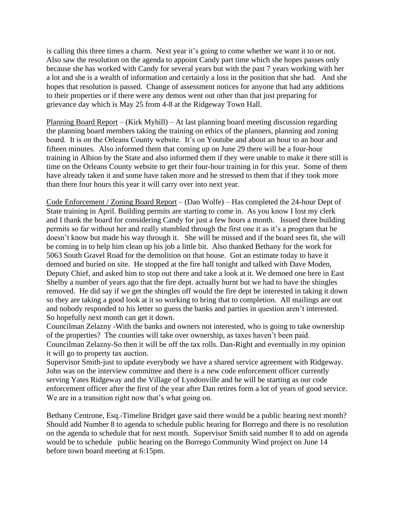is calling this three times a charm. Next year it's going to come whether we want it to or not. Also saw the resolution on the agenda to appoint Candy part time which she hopes passes only because she has worked with Candy for several years but with the past 7 years working with her a lot and she is a wealth of information and certainly a loss in the position that she had. And she hopes that resolution is passed. Change of assessment notices for anyone that had any additions to their properties or if there were any demos went out other than that just preparing for grievance day which is May 25 from 4-8 at the Ridgeway Town Hall.

Planning Board Report – (Kirk Myhill) – At last planning board meeting discussion regarding the planning board members taking the training on ethics of the planners, planning and zoning board. It is on the Orleans County website. It's on Youtube and about an hour to an hour and fifteen minutes. Also informed them that coming up on June 29 there will be a four-hour training in Albion by the State and also informed them if they were unable to make it there still is time on the Orleans County website to get their four-hour training in for this year. Some of them have already taken it and some have taken more and he stressed to them that if they took more than there four hours this year it will carry over into next year.

Code Enforcement / Zoning Board Report – (Dan Wolfe) – Has completed the 24-hour Dept of State training in April. Building permits are starting to come in. As you know I lost my clerk and I thank the board for considering Candy for just a few hours a month. Issued three building permits so far without her and really stumbled through the first one it as it's a program that he doesn't know but made his way through it. She will be missed and if the board sees fit, she will be coming in to help him clean up his job a little bit. Also thanked Bethany for the work for 5063 South Gravel Road for the demolition on that house. Got an estimate today to have it demoed and buried on site. He stopped at the fire hall tonight and talked with Dave Moden, Deputy Chief, and asked him to stop out there and take a look at it. We demoed one here in East Shelby a number of years ago that the fire dept. actually burnt but we had to have the shingles removed. He did say if we get the shingles off would the fire dept be interested in taking it down so they are taking a good look at it so working to bring that to completion. All mailings are out and nobody responded to his letter so guess the banks and parties in question aren't interested. So hopefully next month can get it down.

Councilman Zelazny -With the banks and owners not interested, who is going to take ownership of the properties? The counties will take over ownership, as taxes haven't been paid. Councilman Zelazny-So then it will be off the tax rolls. Dan-Right and eventually in my opinion it will go to property tax auction.

Supervisor Smith-just to update everybody we have a shared service agreement with Ridgeway. John was on the interview committee and there is a new code enforcement officer currently serving Yates Ridgeway and the Village of Lyndonville and he will be starting as our code enforcement officer after the first of the year after Dan retires form a lot of years of good service. We are in a transition right now that's what going on.

Bethany Centrone, Esq.-Timeline Bridget gave said there would be a public hearing next month? Should add Number 8 to agenda to schedule public hearing for Borrego and there is no resolution on the agenda to schedule that for next month. Supervisor Smith said number 8 to add on agenda would be to schedule public hearing on the Borrego Community Wind project on June 14 before town board meeting at 6:15pm.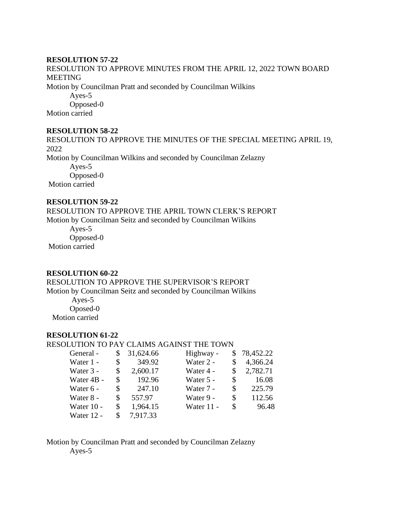#### **RESOLUTION 57-22**

RESOLUTION TO APPROVE MINUTES FROM THE APRIL 12, 2022 TOWN BOARD MEETING Motion by Councilman Pratt and seconded by Councilman Wilkins Ayes-5 Opposed-0 Motion carried

#### **RESOLUTION 58-22**

RESOLUTION TO APPROVE THE MINUTES OF THE SPECIAL MEETING APRIL 19, 2022 Motion by Councilman Wilkins and seconded by Councilman Zelazny Ayes-5 Opposed-0 Motion carried

## **RESOLUTION 59-22**

RESOLUTION TO APPROVE THE APRIL TOWN CLERK'S REPORT Motion by Councilman Seitz and seconded by Councilman Wilkins Ayes-5 Opposed-0 Motion carried

#### **RESOLUTION 60-22**

RESOLUTION TO APPROVE THE SUPERVISOR'S REPORT Motion by Councilman Seitz and seconded by Councilman Wilkins Ayes-5 Oposed-0

Motion carried

#### **RESOLUTION 61-22**

RESOLUTION TO PAY CLAIMS AGAINST THE TOWN

| General -    | 31,624.66      | Highway -  |    | \$78,452.22 |
|--------------|----------------|------------|----|-------------|
| Water 1 -    | \$<br>349.92   | Water 2 -  | S  | 4,366.24    |
| Water 3 -    | \$<br>2,600.17 | Water 4 -  | S  | 2,782.71    |
| Water 4B -   | \$<br>192.96   | Water 5 -  | \$ | 16.08       |
| Water 6 -    | \$<br>247.10   | Water 7 -  | \$ | 225.79      |
| Water 8 -    | \$<br>557.97   | Water 9 -  | \$ | 112.56      |
| Water $10 -$ | \$<br>1,964.15 | Water 11 - | \$ | 96.48       |
| Water 12 -   | 7.917.33       |            |    |             |

Motion by Councilman Pratt and seconded by Councilman Zelazny Ayes-5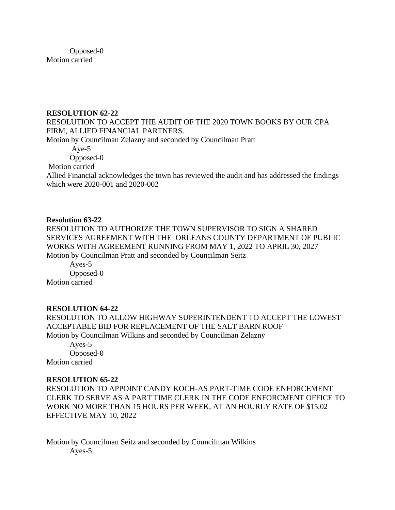Opposed-0 Motion carried

#### **RESOLUTION 62-22**

RESOLUTION TO ACCEPT THE AUDIT OF THE 2020 TOWN BOOKS BY OUR CPA FIRM, ALLIED FINANCIAL PARTNERS. Motion by Councilman Zelazny and seconded by Councilman Pratt Aye-5 Opposed-0 Motion carried Allied Financial acknowledges the town has reviewed the audit and has addressed the findings which were 2020-001 and 2020-002

#### **Resolution 63-22**

RESOLUTION TO AUTHORIZE THE TOWN SUPERVISOR TO SIGN A SHARED SERVICES AGREEMENT WITH THE ORLEANS COUNTY DEPARTMENT OF PUBLIC WORKS WITH AGREEMENT RUNNING FROM MAY 1, 2022 TO APRIL 30, 2027 Motion by Councilman Pratt and seconded by Councilman Seitz

Ayes-5 Opposed-0 Motion carried

#### **RESOLUTION 64-22**

RESOLUTION TO ALLOW HIGHWAY SUPERINTENDENT TO ACCEPT THE LOWEST ACCEPTABLE BID FOR REPLACEMENT OF THE SALT BARN ROOF Motion by Councilman Wilkins and seconded by Councilman Zelazny

Ayes-5 Opposed-0 Motion carried

#### **RESOLUTION 65-22**

RESOLUTION TO APPOINT CANDY KOCH-AS PART-TIME CODE ENFORCEMENT CLERK TO SERVE AS A PART TIME CLERK IN THE CODE ENFORCMENT OFFICE TO WORK NO MORE THAN 15 HOURS PER WEEK, AT AN HOURLY RATE OF \$15.02 EFFECTIVE MAY 10, 2022

Motion by Councilman Seitz and seconded by Councilman Wilkins Ayes-5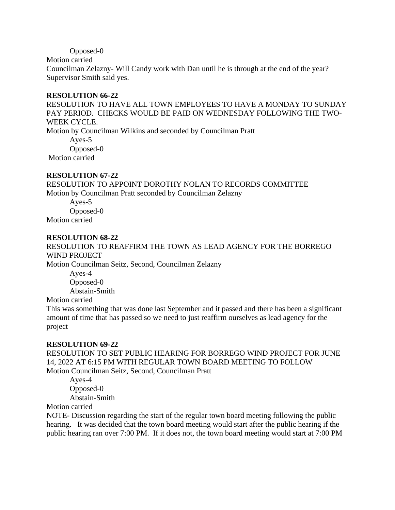#### Opposed-0

#### Motion carried

Councilman Zelazny- Will Candy work with Dan until he is through at the end of the year? Supervisor Smith said yes.

#### **RESOLUTION 66-22**

RESOLUTION TO HAVE ALL TOWN EMPLOYEES TO HAVE A MONDAY TO SUNDAY PAY PERIOD. CHECKS WOULD BE PAID ON WEDNESDAY FOLLOWING THE TWO-WEEK CYCLE. Motion by Councilman Wilkins and seconded by Councilman Pratt Ayes-5 Opposed-0 Motion carried

## **RESOLUTION 67-22**

RESOLUTION TO APPOINT DOROTHY NOLAN TO RECORDS COMMITTEE Motion by Councilman Pratt seconded by Councilman Zelazny

Ayes-5 Opposed-0 Motion carried

## **RESOLUTION 68-22**

RESOLUTION TO REAFFIRM THE TOWN AS LEAD AGENCY FOR THE BORREGO WIND PROJECT

Motion Councilman Seitz, Second, Councilman Zelazny

Ayes-4 Opposed-0 Abstain-Smith

Motion carried

This was something that was done last September and it passed and there has been a significant amount of time that has passed so we need to just reaffirm ourselves as lead agency for the project

#### **RESOLUTION 69-22**

RESOLUTION TO SET PUBLIC HEARING FOR BORREGO WIND PROJECT FOR JUNE 14, 2022 AT 6:15 PM WITH REGULAR TOWN BOARD MEETING TO FOLLOW Motion Councilman Seitz, Second, Councilman Pratt

Ayes-4 Opposed-0 Abstain-Smith

Motion carried

NOTE- Discussion regarding the start of the regular town board meeting following the public hearing. It was decided that the town board meeting would start after the public hearing if the public hearing ran over 7:00 PM. If it does not, the town board meeting would start at 7:00 PM